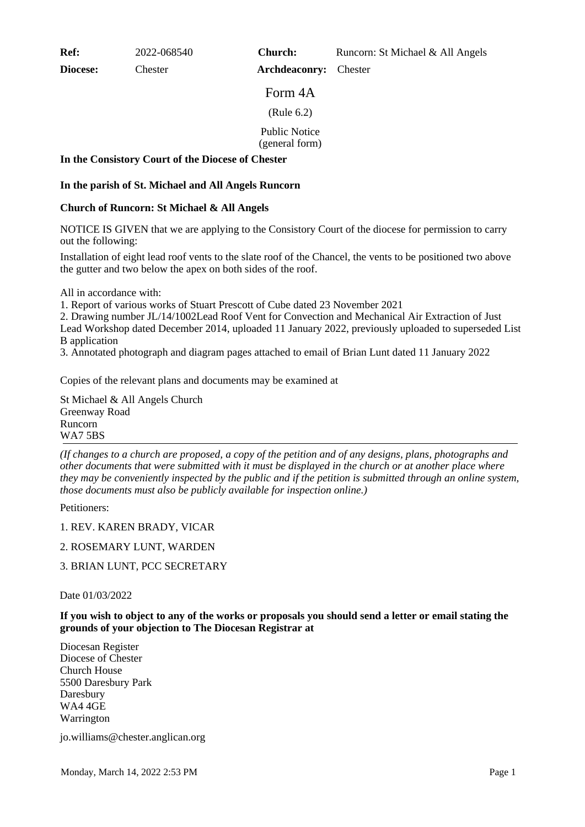**Ref:** 2022-068540

**Diocese:** Chester

**Church:** Runcorn: St Michael & All Angels

**Archdeaconry:** Chester

Form 4A

(Rule 6.2)

Public Notice

(general form)

# **In the Consistory Court of the Diocese of Chester**

# **In the parish of St. Michael and All Angels Runcorn**

# **Church of Runcorn: St Michael & All Angels**

NOTICE IS GIVEN that we are applying to the Consistory Court of the diocese for permission to carry out the following:

Installation of eight lead roof vents to the slate roof of the Chancel, the vents to be positioned two above the gutter and two below the apex on both sides of the roof.

All in accordance with:

1. Report of various works of Stuart Prescott of Cube dated 23 November 2021

2. Drawing number JL/14/1002Lead Roof Vent for Convection and Mechanical Air Extraction of Just Lead Workshop dated December 2014, uploaded 11 January 2022, previously uploaded to superseded List B application

3. Annotated photograph and diagram pages attached to email of Brian Lunt dated 11 January 2022

Copies of the relevant plans and documents may be examined at

St Michael & All Angels Church Greenway Road Runcorn WA7 5BS

*(If changes to a church are proposed, a copy of the petition and of any designs, plans, photographs and other documents that were submitted with it must be displayed in the church or at another place where they may be conveniently inspected by the public and if the petition is submitted through an online system, those documents must also be publicly available for inspection online.)*

Petitioners:

1. REV. KAREN BRADY, VICAR

### 2. ROSEMARY LUNT, WARDEN

3. BRIAN LUNT, PCC SECRETARY

### Date 01/03/2022

**If you wish to object to any of the works or proposals you should send a letter or email stating the grounds of your objection to The Diocesan Registrar at**

Diocesan Register Diocese of Chester Church House 5500 Daresbury Park Daresbury WA4 4GE Warrington

jo.williams@chester.anglican.org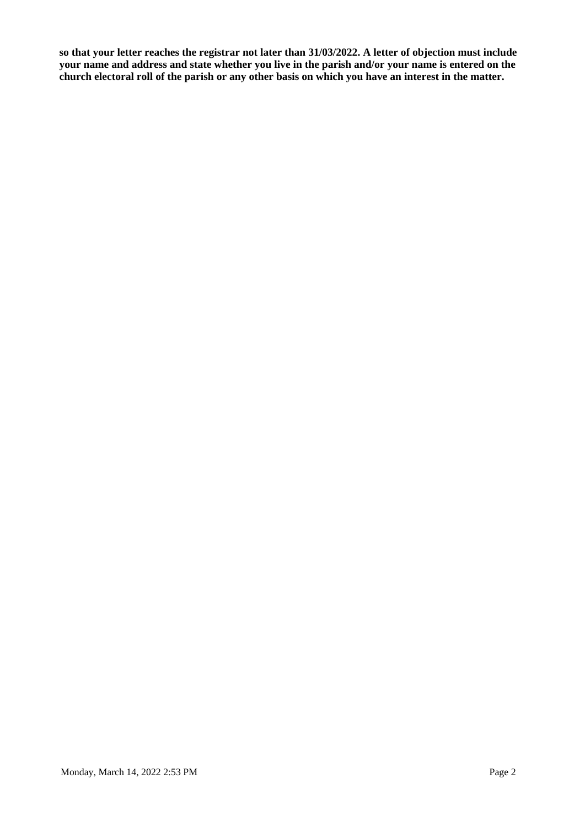**so that your letter reaches the registrar not later than 31/03/2022. A letter of objection must include your name and address and state whether you live in the parish and/or your name is entered on the church electoral roll of the parish or any other basis on which you have an interest in the matter.**